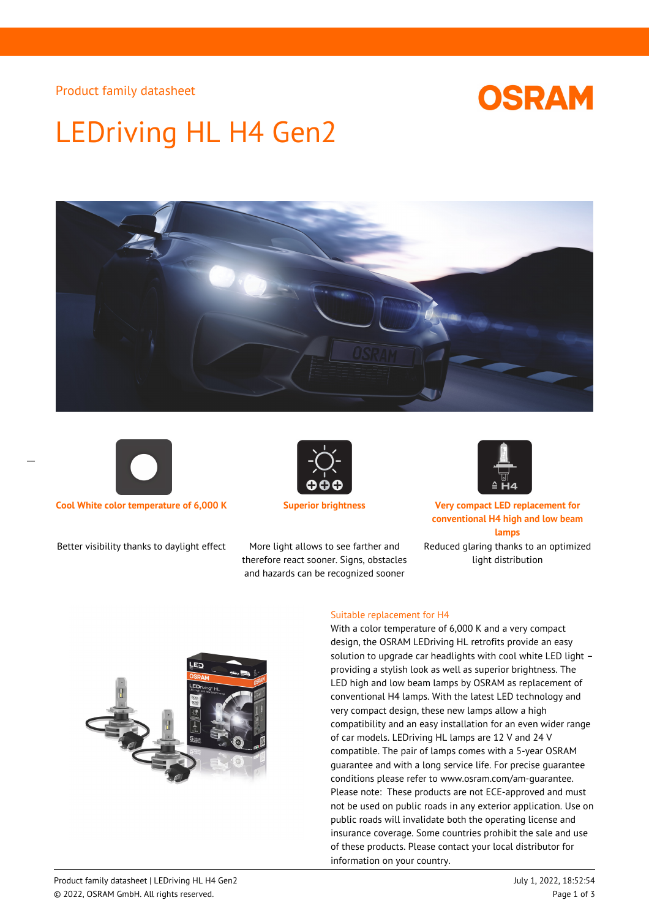Product family datasheet

## **OSRAM**

# LEDriving HL H4 Gen2





Better visibility thanks to daylight effect More light allows to see farther and



therefore react sooner. Signs, obstacles and hazards can be recognized sooner



**Cool White color temperature of 6,000 K Superior brightness Very compact LED replacement for conventional H4 high and low beam lamps**

Reduced glaring thanks to an optimized light distribution



#### Suitable replacement for H4

With a color temperature of 6,000 K and a very compact design, the OSRAM LEDriving HL retrofits provide an easy solution to upgrade car headlights with cool white LED light – providing a stylish look as well as superior brightness. The LED high and low beam lamps by OSRAM as replacement of conventional H4 lamps. With the latest LED technology and very compact design, these new lamps allow a high compatibility and an easy installation for an even wider range of car models. LEDriving HL lamps are 12 V and 24 V compatible. The pair of lamps comes with a 5-year OSRAM guarantee and with a long service life. For precise guarantee conditions please refer to www.osram.com/am-guarantee. Please note: These products are not ECE-approved and must not be used on public roads in any exterior application. Use on public roads will invalidate both the operating license and insurance coverage. Some countries prohibit the sale and use of these products. Please contact your local distributor for information on your country.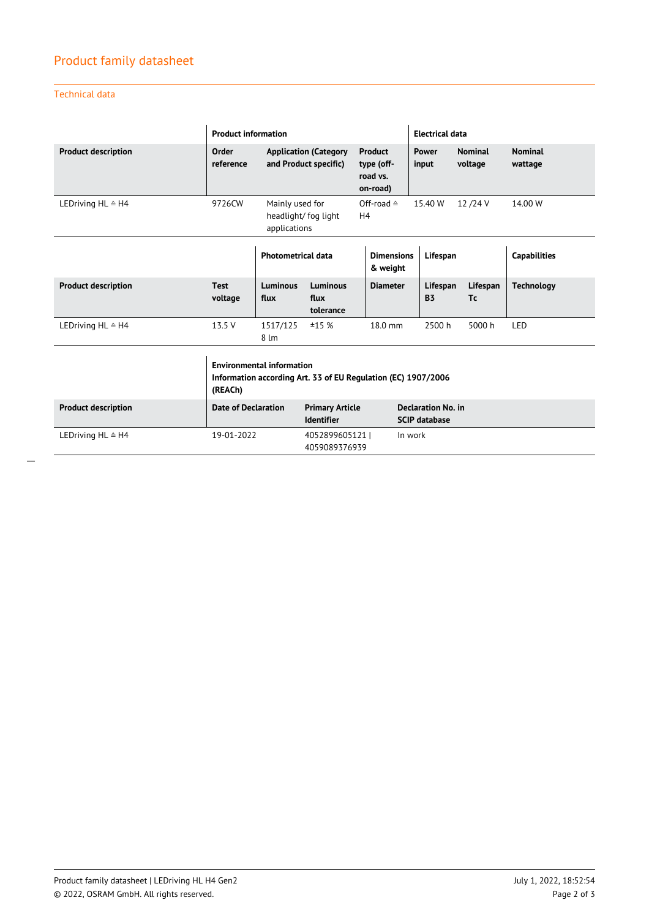## Product family datasheet

## Technical data

|                              | <b>Product information</b>                                                                                   |                                                       |                                             |                                               |                                                   | <b>Electrical data</b>        |                           |                           |  |
|------------------------------|--------------------------------------------------------------------------------------------------------------|-------------------------------------------------------|---------------------------------------------|-----------------------------------------------|---------------------------------------------------|-------------------------------|---------------------------|---------------------------|--|
| <b>Product description</b>   | <b>Order</b><br>reference                                                                                    | <b>Application (Category</b><br>and Product specific) |                                             | Product<br>type (off-<br>road vs.<br>on-road) |                                                   | Power<br>input                | <b>Nominal</b><br>voltage | <b>Nominal</b><br>wattage |  |
| LEDriving HL ≙ H4            | 9726CW<br>Mainly used for<br>Off-road $\triangleq$<br>headlight/fog light<br>H4<br>applications              |                                                       |                                             |                                               |                                                   | 12/24 V<br>14.00 W<br>15.40 W |                           |                           |  |
|                              |                                                                                                              | <b>Photometrical data</b>                             |                                             |                                               | <b>Dimensions</b><br>Lifespan<br>& weight         |                               |                           | <b>Capabilities</b>       |  |
| <b>Product description</b>   | <b>Test</b><br>voltage                                                                                       | Luminous<br>flux                                      | Luminous<br>flux<br>tolerance               | <b>Diameter</b>                               |                                                   | Lifespan<br><b>B3</b>         | Lifespan<br>Tc            | <b>Technology</b>         |  |
| LEDriving HL ≙ H4            | 13.5 V                                                                                                       | 1517/125<br>8 <sub>lm</sub>                           | ±15%                                        | 18.0 mm                                       |                                                   | 2500 h                        | 5000 h                    | LED                       |  |
|                              | <b>Environmental information</b><br>Information according Art. 33 of EU Regulation (EC) 1907/2006<br>(REACh) |                                                       |                                             |                                               |                                                   |                               |                           |                           |  |
| <b>Product description</b>   | <b>Date of Declaration</b>                                                                                   |                                                       | <b>Primary Article</b><br><b>Identifier</b> |                                               | <b>Declaration No. in</b><br><b>SCIP database</b> |                               |                           |                           |  |
| LEDriving $HL \triangleq H4$ | 19-01-2022                                                                                                   |                                                       | 4052899605121<br>4059089376939              |                                               | In work                                           |                               |                           |                           |  |